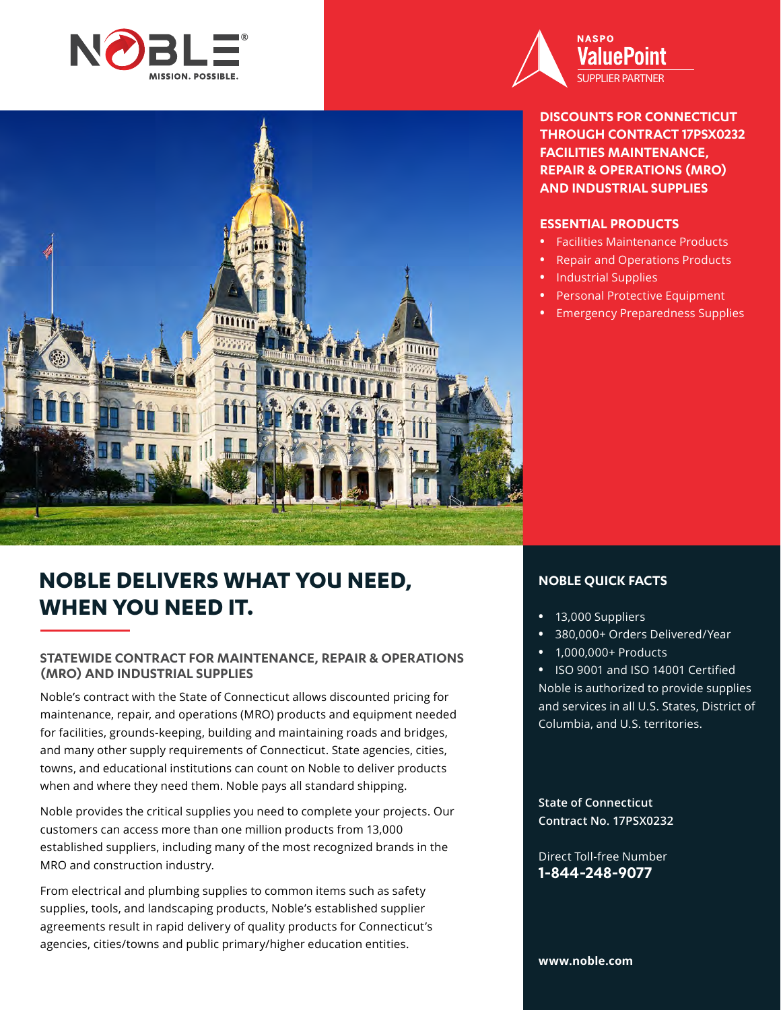



**DISCOUNTS FOR CONNECTICUT THROUGH CONTRACT 17PSX0232 FACILITIES MAINTENANCE, REPAIR & OPERATIONS (MRO) AND INDUSTRIAL SUPPLIES**

## **ESSENTIAL PRODUCTS**

- **•** Facilities Maintenance Products
- **•** Repair and Operations Products
- **•** Industrial Supplies
- **•** Personal Protective Equipment
- **•** Emergency Preparedness Supplies

# **NOBLE DELIVERS WHAT YOU NEED, WHEN YOU NEED IT.**

## **STATEWIDE CONTRACT FOR MAINTENANCE, REPAIR & OPERATIONS (MRO) AND INDUSTRIAL SUPPLIES**

Noble's contract with the State of Connecticut allows discounted pricing for maintenance, repair, and operations (MRO) products and equipment needed for facilities, grounds-keeping, building and maintaining roads and bridges, and many other supply requirements of Connecticut. State agencies, cities, towns, and educational institutions can count on Noble to deliver products when and where they need them. Noble pays all standard shipping.

Noble provides the critical supplies you need to complete your projects. Our customers can access more than one million products from 13,000 established suppliers, including many of the most recognized brands in the MRO and construction industry.

From electrical and plumbing supplies to common items such as safety supplies, tools, and landscaping products, Noble's established supplier agreements result in rapid delivery of quality products for Connecticut's agencies, cities/towns and public primary/higher education entities.

## **NOBLE QUICK FACTS**

- **•** 13,000 Suppliers
- **•** 380,000+ Orders Delivered/Year
- **•** 1,000,000+ Products

**•** ISO 9001 and ISO 14001 Certified Noble is authorized to provide supplies and services in all U.S. States, District of Columbia, and U.S. territories.

**State of Connecticut Contract No. 17PSX0232**

Direct Toll-free Number **1-844-248-9077**